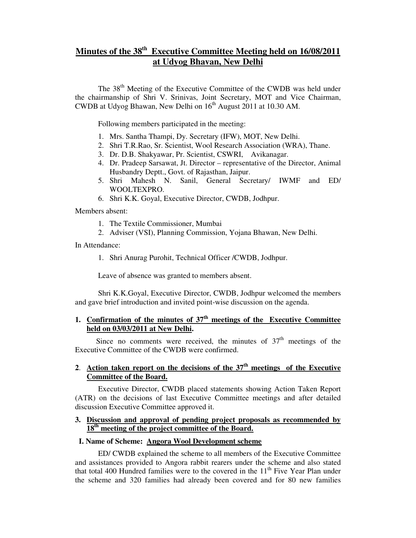# **Minutes of the 38th Executive Committee Meeting held on 16/08/2011 at Udyog Bhavan, New Delhi**

The 38<sup>th</sup> Meeting of the Executive Committee of the CWDB was held under the chairmanship of Shri V. Srinivas, Joint Secretary, MOT and Vice Chairman, CWDB at Udyog Bhawan, New Delhi on  $16<sup>th</sup>$  August 2011 at 10.30 AM.

Following members participated in the meeting:

- 1. Mrs. Santha Thampi, Dy. Secretary (IFW), MOT, New Delhi.
- 2. Shri T.R.Rao, Sr. Scientist, Wool Research Association (WRA), Thane.
- 3. Dr. D.B. Shakyawar, Pr. Scientist, CSWRI, Avikanagar.
- 4. Dr. Pradeep Sarsawat, Jt. Director representative of the Director, Animal Husbandry Deptt., Govt. of Rajasthan, Jaipur.
- 5. Shri Mahesh N. Sanil, General Secretary/ IWMF and ED/ WOOLTEXPRO.
- 6. Shri K.K. Goyal, Executive Director, CWDB, Jodhpur.

Members absent:

- 1. The Textile Commissioner, Mumbai
- 2. Adviser (VSI), Planning Commission, Yojana Bhawan, New Delhi.

In Attendance:

1. Shri Anurag Purohit, Technical Officer /CWDB, Jodhpur.

Leave of absence was granted to members absent.

 Shri K.K.Goyal, Executive Director, CWDB, Jodhpur welcomed the members and gave brief introduction and invited point-wise discussion on the agenda.

## **1. Confirmation of the minutes of 37th meetings of the Executive Committee held on 03/03/2011 at New Delhi.**

Since no comments were received, the minutes of  $37<sup>th</sup>$  meetings of the Executive Committee of the CWDB were confirmed.

## **2**. **Action taken report on the decisions of the 37th meetings of the Executive Committee of the Board.**

Executive Director, CWDB placed statements showing Action Taken Report (ATR) on the decisions of last Executive Committee meetings and after detailed discussion Executive Committee approved it.

#### **3. Discussion and approval of pending project proposals as recommended by 18th meeting of the project committee of the Board.**

#### **I. Name of Scheme: Angora Wool Development scheme**

ED/ CWDB explained the scheme to all members of the Executive Committee and assistances provided to Angora rabbit rearers under the scheme and also stated that total 400 Hundred families were to the covered in the  $11<sup>th</sup>$  Five Year Plan under the scheme and 320 families had already been covered and for 80 new families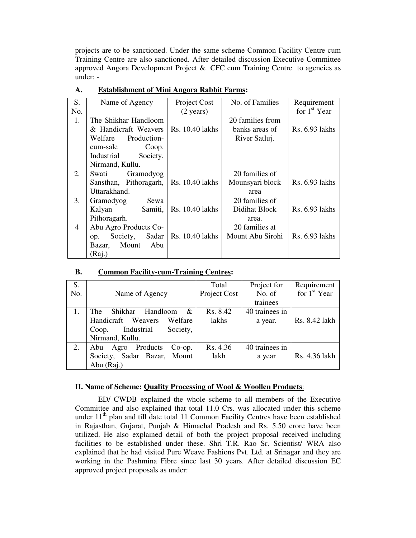projects are to be sanctioned. Under the same scheme Common Facility Centre cum Training Centre are also sanctioned. After detailed discussion Executive Committee approved Angora Development Project  $\&$  CFC cum Training Centre to agencies as under: -

| S.             | Name of Agency         | Project Cost        | No. of Families  | Requirement    |
|----------------|------------------------|---------------------|------------------|----------------|
| No.            |                        | $(2 \text{ years})$ |                  | for $1st$ Year |
| 1.             | The Shikhar Handloom   |                     | 20 families from |                |
|                | & Handicraft Weavers   | Rs. 10.40 lakhs     | banks areas of   | Rs. 6.93 lakhs |
|                | Welfare<br>Production- |                     | River Satluj.    |                |
|                | cum-sale<br>Coop.      |                     |                  |                |
|                | Industrial<br>Society, |                     |                  |                |
|                | Nirmand, Kullu.        |                     |                  |                |
| 2.             | Gramodyog<br>Swati     |                     | 20 families of   |                |
|                | Sansthan, Pithoragarh, | Rs. 10.40 lakhs     | Mounsyari block  | Rs. 6.93 lakhs |
|                | Uttarakhand.           |                     | area             |                |
| 3.             | Sewa<br>Gramodyog      |                     | 20 families of   |                |
|                | Samiti,<br>Kalyan      | Rs. 10.40 lakhs     | Didihat Block    | Rs. 6.93 lakhs |
|                | Pithoragarh.           |                     | area.            |                |
| $\overline{4}$ | Abu Agro Products Co-  |                     | 20 families at   |                |
|                | Society, Sadar<br>op.  | Rs. 10.40 lakhs     | Mount Abu Sirohi | Rs. 6.93 lakhs |
|                | Bazar, Mount<br>Abu    |                     |                  |                |
|                | (Rai.)                 |                     |                  |                |

## **A. Establishment of Mini Angora Rabbit Farms:**

|     |     |                | <u>Communi i Gommy i Gami i famili e Comunica</u> |   |                       |                                   |                               |
|-----|-----|----------------|---------------------------------------------------|---|-----------------------|-----------------------------------|-------------------------------|
| No. |     |                | Name of Agency                                    |   | Total<br>Project Cost | Project for<br>No. of<br>trainees | Requirement<br>for $1st$ Year |
|     | The | <b>Shikhar</b> | Handloom                                          | & | Rs. 8.42              | 40 trainees in                    |                               |

#### **B. Common Facility-cum-Training Centres:**

Handicraft Weavers Welfare Coop. Industrial Society,

Nirmand, Kullu.

#### 2. Abu Agro Products Co-op. Society, Sadar Bazar, Mount Abu (Raj.) Rs. 4.36 lakh 40 trainees in a year  $\qquad$  Rs. 4.36 lakh

lakhs

a year.  $\vert$  Rs. 8.42 lakh

#### **II. Name of Scheme: Quality Processing of Wool & Woollen Products**:

ED/ CWDB explained the whole scheme to all members of the Executive Committee and also explained that total 11.0 Crs. was allocated under this scheme under  $11<sup>th</sup>$  plan and till date total 11 Common Facility Centres have been established in Rajasthan, Gujarat, Punjab & Himachal Pradesh and Rs. 5.50 crore have been utilized. He also explained detail of both the project proposal received including facilities to be established under these. Shri T.R. Rao Sr. Scientist/ WRA also explained that he had visited Pure Weave Fashions Pvt. Ltd. at Srinagar and they are working in the Pashmina Fibre since last 30 years. After detailed discussion EC approved project proposals as under: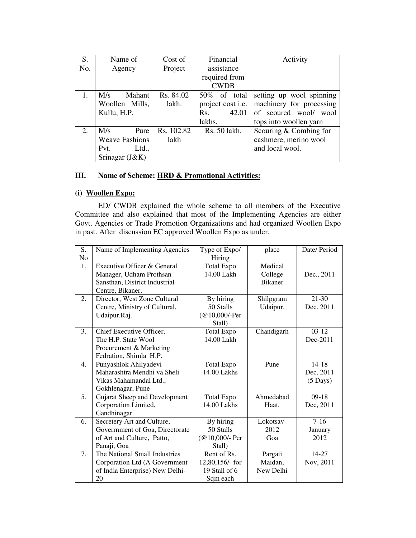| S.  | Name of               | Cost of    | Financial                | Activity                 |
|-----|-----------------------|------------|--------------------------|--------------------------|
| No. | Agency                | Project    | assistance               |                          |
|     |                       |            | required from            |                          |
|     |                       |            | <b>CWDB</b>              |                          |
| 1.  | M/s<br>Mahant         | Rs. 84.02  | 50% of total             | setting up wool spinning |
|     | Woollen Mills,        | lakh.      | project cost <i>i.e.</i> | machinery for processing |
|     | Kullu, H.P.           |            | 42.01<br>Rs.             | of scoured wool/ wool    |
|     |                       |            | lakhs.                   | tops into woollen yarn   |
| 2.  | M/s<br>Pure           | Rs. 102.82 | Rs. 50 lakh.             | Scouring $&$ Combing for |
|     | <b>Weave Fashions</b> | lakh       |                          | cashmere, merino wool    |
|     | Ltd.,<br>Pvt.         |            |                          | and local wool.          |
|     | Srinagar (J&K)        |            |                          |                          |

## **III. Name of Scheme: HRD & Promotional Activities:**

## **(i) Woollen Expo:**

ED/ CWDB explained the whole scheme to all members of the Executive Committee and also explained that most of the Implementing Agencies are either Govt. Agencies or Trade Promotion Organizations and had organized Woollen Expo in past. After discussion EC approved Woollen Expo as under.

| S.             | Name of Implementing Agencies   | Type of Expo/     | place          | Date/Period        |
|----------------|---------------------------------|-------------------|----------------|--------------------|
| No             |                                 | Hiring            |                |                    |
| $\mathbf{1}$ . | Executive Officer & General     | <b>Total Expo</b> | Medical        |                    |
|                | Manager, Udham Prothsan         | 14.00 Lakh        | College        | Dec., 2011         |
|                | Sansthan, District Industrial   |                   | <b>Bikaner</b> |                    |
|                | Centre, Bikaner.                |                   |                |                    |
| 2.             | Director, West Zone Cultural    | By hiring         | Shilpgram      | $21-30$            |
|                | Centre, Ministry of Cultural,   | 50 Stalls         | Udaipur.       | Dec. 2011          |
|                | Udaipur.Raj.                    | (@10,000/-Per     |                |                    |
|                |                                 | Stall)            |                |                    |
| 3.             | Chief Executive Officer,        | <b>Total Expo</b> | Chandigarh     | $03-12$            |
|                | The H.P. State Wool             | 14.00 Lakh        |                | Dec-2011           |
|                | Procurement & Marketing         |                   |                |                    |
|                | Fedration, Shimla H.P.          |                   |                |                    |
| 4.             | Punyashlok Ahilyadevi           | <b>Total Expo</b> | Pune           | $14 - 18$          |
|                | Maharashtra Mendhi va Sheli     | 14.00 Lakhs       |                | Dec, 2011          |
|                | Vikas Mahamandal Ltd.,          |                   |                | $(5 \text{ Days})$ |
|                | Gokhlenagar, Pune               |                   |                |                    |
| 5.             | Gujarat Sheep and Development   | Total Expo        | Ahmedabad      | $09-18$            |
|                | Corporation Limited,            | 14.00 Lakhs       | Haat,          | Dec, 2011          |
|                | Gandhinagar                     |                   |                |                    |
| 6.             | Secretery Art and Culture,      | By hiring         | Lokotsav-      | $7-16$             |
|                | Government of Goa, Directorate  | 50 Stalls         | 2012           | January            |
|                | of Art and Culture, Patto,      | (@10,000/- Per    | Goa            | 2012               |
|                | Panaji, Goa                     | Stall)            |                |                    |
| 7 <sub>1</sub> | The National Small Industries   | Rent of Rs.       | Pargati        | $14 - 27$          |
|                | Corporation Ltd (A Government   | 12,80,156/- for   | Maidan,        | Nov, 2011          |
|                | of India Enterprise) New Delhi- | 19 Stall of 6     | New Delhi      |                    |
|                | 20                              | Sqm each          |                |                    |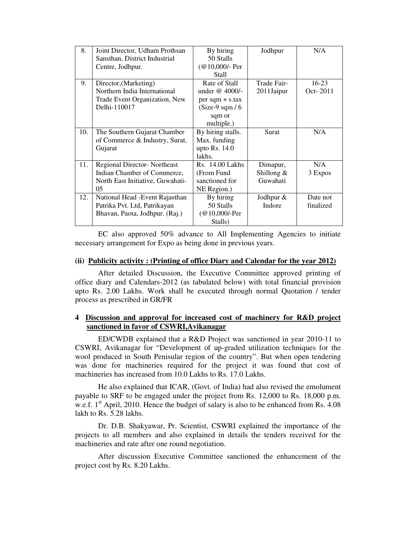| 8.  | Joint Director, Udham Prothsan   | By hiring         | Jodhpur      | N/A       |
|-----|----------------------------------|-------------------|--------------|-----------|
|     | Sansthan, District Industrial    | 50 Stalls         |              |           |
|     | Centre, Jodhpur.                 | $(Q010,000/-$ Per |              |           |
|     |                                  | Stall             |              |           |
| 9.  | Director, (Marketing)            | Rate of Stall     | Trade Fair-  | $16-23$   |
|     | Northern India International     | under $@$ 4000/-  | 2011Jaipur   | Oct-2011  |
|     | Trade Event Organization, New    | $per$ sqm + s.tax |              |           |
|     | Delhi-110017                     | $(Size-9$ sqm / 6 |              |           |
|     |                                  | sqm or            |              |           |
|     |                                  | multiple.)        |              |           |
| 10. | The Southern Gujarat Chamber     | By hiring stalls. | Surat        | N/A       |
|     | of Commerce & Industry, Surat,   | Max. funding      |              |           |
|     | Gujarat                          | upto Rs. 14.0     |              |           |
|     |                                  | lakhs.            |              |           |
| 11. | Regional Director-Northeast      | Rs. 14.00 Lakhs   | Dimapur,     | N/A       |
|     | Indian Chamber of Commerce,      | (From Fund        | Shillong $&$ | 3 Expos   |
|     | North East Initiative, Guwahati- | sanctioned for    | Guwahati     |           |
|     | 0 <sub>5</sub>                   | NE Region.)       |              |           |
| 12. | National Head - Event Rajasthan  | By hiring         | Jodhpur &    | Date not  |
|     | Patrika Pvt. Ltd, Patrikayan     | 50 Stalls         | Indore       | finalized |
|     | Bhavan, Paota, Jodhpur. (Raj.)   | $(Q10,000/-Per)$  |              |           |
|     |                                  | Stalls)           |              |           |

EC also approved 50% advance to All Implementing Agencies to initiate necessary arrangement for Expo as being done in previous years.

#### **(ii) Publicity activity : (Printing of office Diary and Calendar for the year 2012)**

After detailed Discussion, the Executive Committee approved printing of office diary and Calendars-2012 (as tabulated below) with total financial provision upto Rs. 2.00 Lakhs. Work shall be executed through normal Quotation / tender process as prescribed in GR/FR

### **4 Discussion and approval for increased cost of machinery for R&D project sanctioned in favor of CSWRI,Avikanagar**

 ED/CWDB explained that a R&D Project was sanctioned in year 2010-11 to CSWRI, Avikanagar for "Development of up-graded utilization techniques for the wool produced in South Penisular region of the country". But when open tendering was done for machineries required for the project it was found that cost of machineries has increased from 10.0 Lakhs to Rs. 17.0 Lakhs.

He also explained that ICAR, (Govt. of India) had also revised the emolument payable to SRF to be engaged under the project from Rs. 12,000 to Rs. 18,000 p.m. w.e.f. 1<sup>st</sup> April, 2010. Hence the budget of salary is also to be enhanced from Rs. 4.08 lakh to Rs. 5.28 lakhs.

Dr. D.B. Shakyawar, Pr. Scientist, CSWRI explained the importance of the projects to all members and also explained in details the tenders received for the machineries and rate after one round negotiation.

After discussion Executive Committee sanctioned the enhancement of the project cost by Rs. 8.20 Lakhs.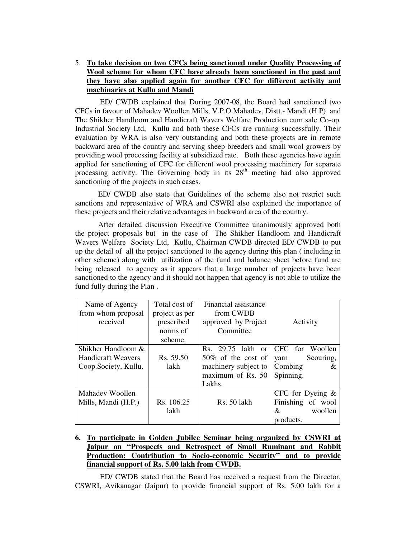## 5. **To take decision on two CFCs being sanctioned under Quality Processing of Wool scheme for whom CFC have already been sanctioned in the past and they have also applied again for another CFC for different activity and machinaries at Kullu and Mandi**

 ED/ CWDB explained that During 2007-08, the Board had sanctioned two CFCs in favour of Mahadev Woollen Mills, V.P.O Mahadev, Distt.- Mandi (H.P) and The Shikher Handloom and Handicraft Wavers Welfare Production cum sale Co-op. Industrial Society Ltd, Kullu and both these CFCs are running successfully. Their evaluation by WRA is also very outstanding and both these projects are in remote backward area of the country and serving sheep breeders and small wool growers by providing wool processing facility at subsidized rate. Both these agencies have again applied for sanctioning of CFC for different wool processing machinery for separate processing activity. The Governing body in its  $28<sup>th</sup>$  meeting had also approved sanctioning of the projects in such cases.

ED/ CWDB also state that Guidelines of the scheme also not restrict such sanctions and representative of WRA and CSWRI also explained the importance of these projects and their relative advantages in backward area of the country.

After detailed discussion Executive Committee unanimously approved both the project proposals but in the case of The Shikher Handloom and Handicraft Wavers Welfare Society Ltd, Kullu, Chairman CWDB directed ED/ CWDB to put up the detail of all the project sanctioned to the agency during this plan ( including in other scheme) along with utilization of the fund and balance sheet before fund are being released to agency as it appears that a large number of projects have been sanctioned to the agency and it should not happen that agency is not able to utilize the fund fully during the Plan .

| Name of Agency<br>from whom proposal<br>received                        | Total cost of<br>project as per<br>prescribed<br>norms of<br>scheme. | Financial assistance<br>from CWDB<br>approved by Project<br>Committee                             | Activity                                                              |
|-------------------------------------------------------------------------|----------------------------------------------------------------------|---------------------------------------------------------------------------------------------------|-----------------------------------------------------------------------|
| Shikher Handloom &<br><b>Handicraft Weavers</b><br>Coop.Society, Kullu. | Rs. 59.50<br>lakh                                                    | Rs. 29.75 lakh or<br>$50\%$ of the cost of<br>machinery subject to<br>maximum of Rs. 50<br>Lakhs. | CFC for Woollen<br>Scouring,<br>varn<br>Combing<br>&<br>Spinning.     |
| Mahadey Woollen<br>Mills, Mandi (H.P.)                                  | Rs. 106.25<br>lakh                                                   | Rs. 50 lakh                                                                                       | CFC for Dyeing $\&$<br>Finishing of wool<br>woollen<br>&<br>products. |

**6. To participate in Golden Jubilee Seminar being organized by CSWRI at Jaipur on "Prospects and Retrospect of Small Ruminant and Rabbit Production: Contribution to Socio-economic Security" and to provide financial support of Rs. 5.00 lakh from CWDB.** 

 ED/ CWDB stated that the Board has received a request from the Director, CSWRI, Avikanagar (Jaipur) to provide financial support of Rs. 5.00 lakh for a